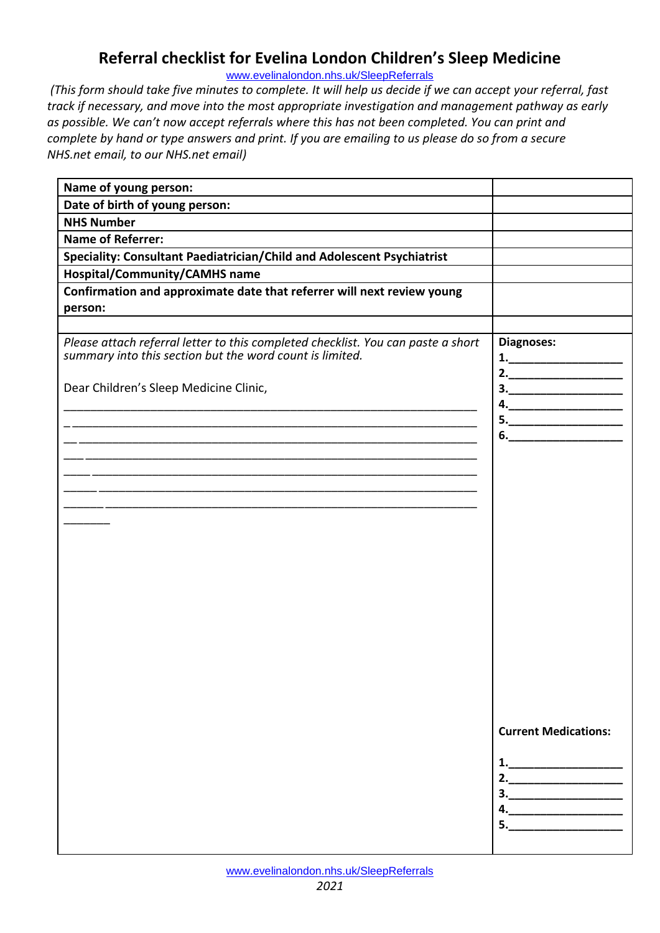## **Referral checklist for Evelina London Children's Sleep Medicine**

[www.evelinalondon.nhs.uk/SleepReferrals](http://www.evelinalondon.nhs.uk/SleepReferrals)

*(This form should take five minutes to complete. It will help us decide if we can accept your referral, fast track if necessary, and move into the most appropriate investigation and management pathway as early as possible. We can't now accept referrals where this has not been completed. You can print and complete by hand or type answers and print. If you are emailing to us please do so from a secure NHS.net email, to our NHS.net email)*

| Name of young person:                                                                                                                                                                  |                                                                                                                                                                                                                                                                                                                                                                                                                                                                                                                                                                                          |
|----------------------------------------------------------------------------------------------------------------------------------------------------------------------------------------|------------------------------------------------------------------------------------------------------------------------------------------------------------------------------------------------------------------------------------------------------------------------------------------------------------------------------------------------------------------------------------------------------------------------------------------------------------------------------------------------------------------------------------------------------------------------------------------|
| Date of birth of young person:                                                                                                                                                         |                                                                                                                                                                                                                                                                                                                                                                                                                                                                                                                                                                                          |
| <b>NHS Number</b>                                                                                                                                                                      |                                                                                                                                                                                                                                                                                                                                                                                                                                                                                                                                                                                          |
| <b>Name of Referrer:</b>                                                                                                                                                               |                                                                                                                                                                                                                                                                                                                                                                                                                                                                                                                                                                                          |
| Speciality: Consultant Paediatrician/Child and Adolescent Psychiatrist                                                                                                                 |                                                                                                                                                                                                                                                                                                                                                                                                                                                                                                                                                                                          |
| <b>Hospital/Community/CAMHS name</b>                                                                                                                                                   |                                                                                                                                                                                                                                                                                                                                                                                                                                                                                                                                                                                          |
| Confirmation and approximate date that referrer will next review young                                                                                                                 |                                                                                                                                                                                                                                                                                                                                                                                                                                                                                                                                                                                          |
| person:                                                                                                                                                                                |                                                                                                                                                                                                                                                                                                                                                                                                                                                                                                                                                                                          |
| Please attach referral letter to this completed checklist. You can paste a short<br>summary into this section but the word count is limited.<br>Dear Children's Sleep Medicine Clinic, | Diagnoses:<br>2. $\qquad \qquad$<br>$\begin{array}{c} \n3. \quad \text{---} \quad \text{---} \quad \text{---} \quad \text{---} \quad \text{---} \quad \text{---} \quad \text{---} \quad \text{---} \quad \text{---} \quad \text{---} \quad \text{---} \quad \text{---} \quad \text{---} \quad \text{---} \quad \text{---} \quad \text{---} \quad \text{---} \quad \text{---} \quad \text{---} \quad \text{---} \quad \text{---} \quad \text{---} \quad \text{---} \quad \text{---} \quad \text{---} \quad \text{---} \quad \text{---} \quad \text{---} \quad \text{---} \quad \text{---$ |
|                                                                                                                                                                                        |                                                                                                                                                                                                                                                                                                                                                                                                                                                                                                                                                                                          |
|                                                                                                                                                                                        | $5. \underline{\hspace{2cm}}$                                                                                                                                                                                                                                                                                                                                                                                                                                                                                                                                                            |
|                                                                                                                                                                                        |                                                                                                                                                                                                                                                                                                                                                                                                                                                                                                                                                                                          |
|                                                                                                                                                                                        |                                                                                                                                                                                                                                                                                                                                                                                                                                                                                                                                                                                          |
|                                                                                                                                                                                        |                                                                                                                                                                                                                                                                                                                                                                                                                                                                                                                                                                                          |
|                                                                                                                                                                                        |                                                                                                                                                                                                                                                                                                                                                                                                                                                                                                                                                                                          |
|                                                                                                                                                                                        |                                                                                                                                                                                                                                                                                                                                                                                                                                                                                                                                                                                          |
|                                                                                                                                                                                        |                                                                                                                                                                                                                                                                                                                                                                                                                                                                                                                                                                                          |
|                                                                                                                                                                                        |                                                                                                                                                                                                                                                                                                                                                                                                                                                                                                                                                                                          |
|                                                                                                                                                                                        |                                                                                                                                                                                                                                                                                                                                                                                                                                                                                                                                                                                          |
|                                                                                                                                                                                        |                                                                                                                                                                                                                                                                                                                                                                                                                                                                                                                                                                                          |
|                                                                                                                                                                                        |                                                                                                                                                                                                                                                                                                                                                                                                                                                                                                                                                                                          |
|                                                                                                                                                                                        |                                                                                                                                                                                                                                                                                                                                                                                                                                                                                                                                                                                          |
|                                                                                                                                                                                        |                                                                                                                                                                                                                                                                                                                                                                                                                                                                                                                                                                                          |
|                                                                                                                                                                                        |                                                                                                                                                                                                                                                                                                                                                                                                                                                                                                                                                                                          |
|                                                                                                                                                                                        |                                                                                                                                                                                                                                                                                                                                                                                                                                                                                                                                                                                          |
|                                                                                                                                                                                        |                                                                                                                                                                                                                                                                                                                                                                                                                                                                                                                                                                                          |
|                                                                                                                                                                                        | <b>Current Medications:</b>                                                                                                                                                                                                                                                                                                                                                                                                                                                                                                                                                              |
|                                                                                                                                                                                        | 1.<br>2.<br>$\begin{array}{c}\n3.\n\end{array}$                                                                                                                                                                                                                                                                                                                                                                                                                                                                                                                                          |
|                                                                                                                                                                                        | $\begin{array}{c}\n5.\n\end{array}$                                                                                                                                                                                                                                                                                                                                                                                                                                                                                                                                                      |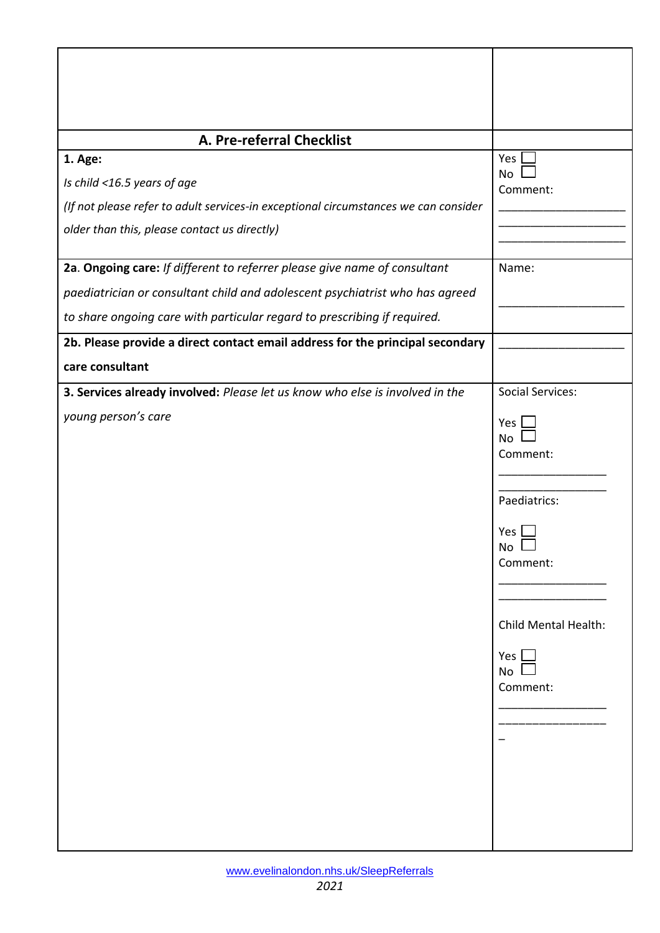| A. Pre-referral Checklist                                                                                                                                                                                                             |                                                                                                                                                                                 |
|---------------------------------------------------------------------------------------------------------------------------------------------------------------------------------------------------------------------------------------|---------------------------------------------------------------------------------------------------------------------------------------------------------------------------------|
| 1. Age:<br>Is child <16.5 years of age<br>(If not please refer to adult services-in exceptional circumstances we can consider<br>older than this, please contact us directly)                                                         | Yes<br>No<br>Comment:                                                                                                                                                           |
|                                                                                                                                                                                                                                       |                                                                                                                                                                                 |
| 2a. Ongoing care: If different to referrer please give name of consultant<br>paediatrician or consultant child and adolescent psychiatrist who has agreed<br>to share ongoing care with particular regard to prescribing if required. | Name:                                                                                                                                                                           |
| 2b. Please provide a direct contact email address for the principal secondary                                                                                                                                                         |                                                                                                                                                                                 |
| care consultant                                                                                                                                                                                                                       |                                                                                                                                                                                 |
| 3. Services already involved: Please let us know who else is involved in the<br>young person's care                                                                                                                                   | <b>Social Services:</b><br>Yes.<br><b>No</b><br>Comment:<br>Paediatrics:<br>Yes<br>No<br>Comment:<br><b>Child Mental Health:</b><br>Yes $\mathsf{\mathsf{L}}$<br>No<br>Comment: |

Т

 $\mathbf{r}$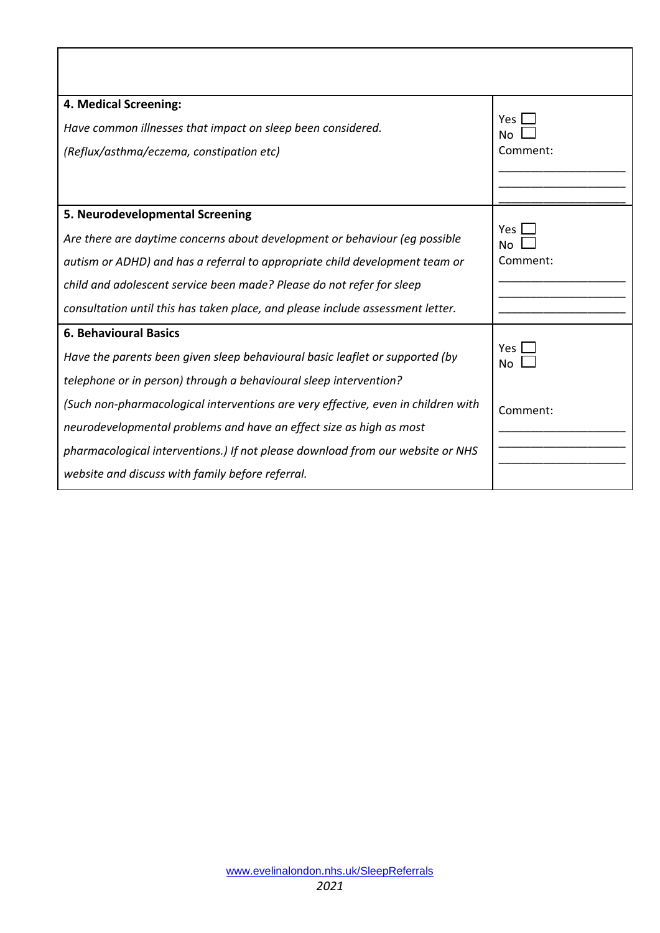| 4. Medical Screening:                                                             |                        |
|-----------------------------------------------------------------------------------|------------------------|
| Have common illnesses that impact on sleep been considered.                       | Yes.<br>N <sub>0</sub> |
| (Reflux/asthma/eczema, constipation etc)                                          | Comment:               |
|                                                                                   |                        |
|                                                                                   |                        |
| 5. Neurodevelopmental Screening                                                   |                        |
| Are there are daytime concerns about development or behaviour (eq possible        | <b>Yes</b><br>No       |
| autism or ADHD) and has a referral to appropriate child development team or       | Comment:               |
| child and adolescent service been made? Please do not refer for sleep             |                        |
| consultation until this has taken place, and please include assessment letter.    |                        |
| <b>6. Behavioural Basics</b>                                                      |                        |
| Have the parents been given sleep behavioural basic leaflet or supported (by      | Yes<br>No              |
| telephone or in person) through a behavioural sleep intervention?                 |                        |
| (Such non-pharmacological interventions are very effective, even in children with | Comment:               |
| neurodevelopmental problems and have an effect size as high as most               |                        |
| pharmacological interventions.) If not please download from our website or NHS    |                        |
| website and discuss with family before referral.                                  |                        |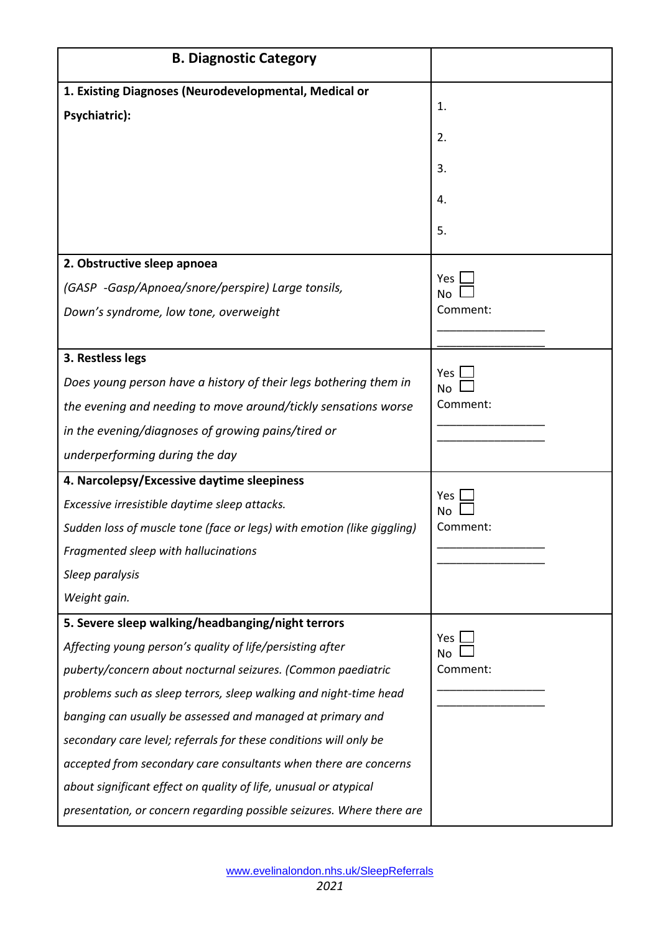| <b>B. Diagnostic Category</b>                                          |                       |
|------------------------------------------------------------------------|-----------------------|
| 1. Existing Diagnoses (Neurodevelopmental, Medical or                  |                       |
| Psychiatric):                                                          | 1.                    |
|                                                                        | 2.                    |
|                                                                        | 3.                    |
|                                                                        | 4.                    |
|                                                                        | 5.                    |
| 2. Obstructive sleep apnoea                                            |                       |
| (GASP -Gasp/Apnoea/snore/perspire) Large tonsils,                      | Yes<br>N <sub>o</sub> |
| Down's syndrome, low tone, overweight                                  | Comment:              |
|                                                                        |                       |
| 3. Restless legs                                                       |                       |
| Does young person have a history of their legs bothering them in       | <b>Yes</b><br>No      |
| the evening and needing to move around/tickly sensations worse         | Comment:              |
| in the evening/diagnoses of growing pains/tired or                     |                       |
| underperforming during the day                                         |                       |
| 4. Narcolepsy/Excessive daytime sleepiness                             |                       |
| Excessive irresistible daytime sleep attacks.                          | Yes<br>N٥             |
| Sudden loss of muscle tone (face or legs) with emotion (like giggling) | Comment:              |
| Fragmented sleep with hallucinations                                   |                       |
| Sleep paralysis                                                        |                       |
| Weight gain.                                                           |                       |
| 5. Severe sleep walking/headbanging/night terrors                      |                       |
| Affecting young person's quality of life/persisting after              | Yes<br>No             |
| puberty/concern about nocturnal seizures. (Common paediatric           | Comment:              |
| problems such as sleep terrors, sleep walking and night-time head      |                       |
| banging can usually be assessed and managed at primary and             |                       |
| secondary care level; referrals for these conditions will only be      |                       |
| accepted from secondary care consultants when there are concerns       |                       |
| about significant effect on quality of life, unusual or atypical       |                       |
| presentation, or concern regarding possible seizures. Where there are  |                       |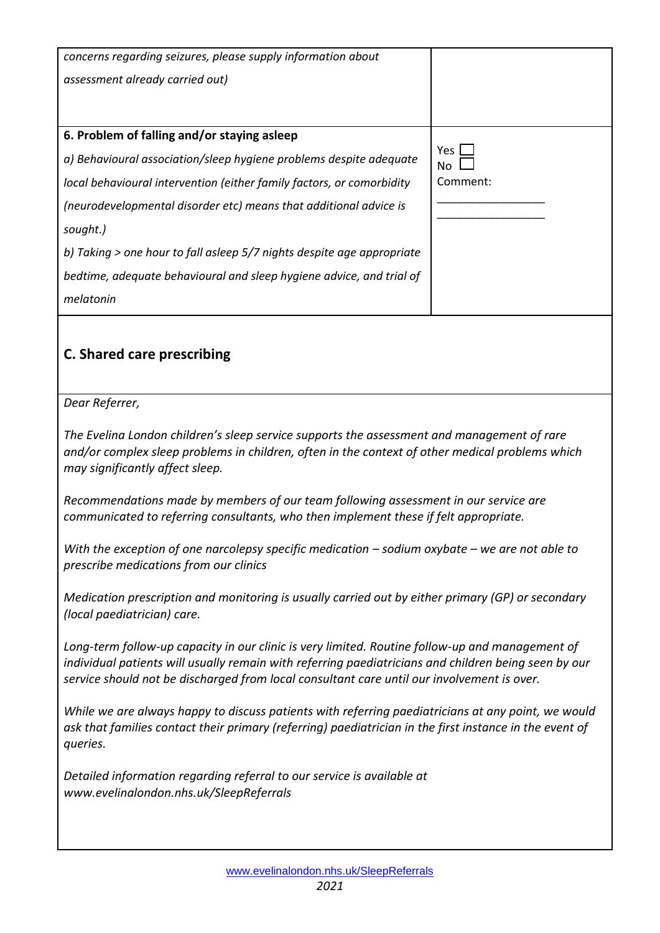| concerns regarding seizures, please supply information about                                                                                                                                                                                                                                          |                            |  |
|-------------------------------------------------------------------------------------------------------------------------------------------------------------------------------------------------------------------------------------------------------------------------------------------------------|----------------------------|--|
| assessment already carried out)                                                                                                                                                                                                                                                                       |                            |  |
|                                                                                                                                                                                                                                                                                                       |                            |  |
| 6. Problem of falling and/or staying asleep                                                                                                                                                                                                                                                           |                            |  |
| a) Behavioural association/sleep hygiene problems despite adequate                                                                                                                                                                                                                                    | Yes                        |  |
| local behavioural intervention (either family factors, or comorbidity                                                                                                                                                                                                                                 | N <sub>o</sub><br>Comment: |  |
| (neurodevelopmental disorder etc) means that additional advice is                                                                                                                                                                                                                                     |                            |  |
| sought.)                                                                                                                                                                                                                                                                                              |                            |  |
| b) Taking > one hour to fall asleep 5/7 nights despite age appropriate                                                                                                                                                                                                                                |                            |  |
|                                                                                                                                                                                                                                                                                                       |                            |  |
| bedtime, adequate behavioural and sleep hygiene advice, and trial of                                                                                                                                                                                                                                  |                            |  |
| melatonin                                                                                                                                                                                                                                                                                             |                            |  |
|                                                                                                                                                                                                                                                                                                       |                            |  |
| <b>C. Shared care prescribing</b>                                                                                                                                                                                                                                                                     |                            |  |
|                                                                                                                                                                                                                                                                                                       |                            |  |
| Dear Referrer,                                                                                                                                                                                                                                                                                        |                            |  |
| The Evelina London children's sleep service supports the assessment and management of rare<br>and/or complex sleep problems in children, often in the context of other medical problems which<br>may significantly affect sleep.                                                                      |                            |  |
| Recommendations made by members of our team following assessment in our service are<br>communicated to referring consultants, who then implement these if felt appropriate.                                                                                                                           |                            |  |
| With the exception of one narcolepsy specific medication $-$ sodium oxybate $-$ we are not able to<br>prescribe medications from our clinics                                                                                                                                                          |                            |  |
| Medication prescription and monitoring is usually carried out by either primary (GP) or secondary<br>(local paediatrician) care.                                                                                                                                                                      |                            |  |
| Long-term follow-up capacity in our clinic is very limited. Routine follow-up and management of<br>individual patients will usually remain with referring paediatricians and children being seen by our<br>service should not be discharged from local consultant care until our involvement is over. |                            |  |
| While we are always happy to discuss patients with referring paediatricians at any point, we would<br>ask that families contact their primary (referring) paediatrician in the first instance in the event of<br>queries.                                                                             |                            |  |
| Detailed information regarding referral to our service is available at<br>www.evelinalondon.nhs.uk/SleepReferrals                                                                                                                                                                                     |                            |  |